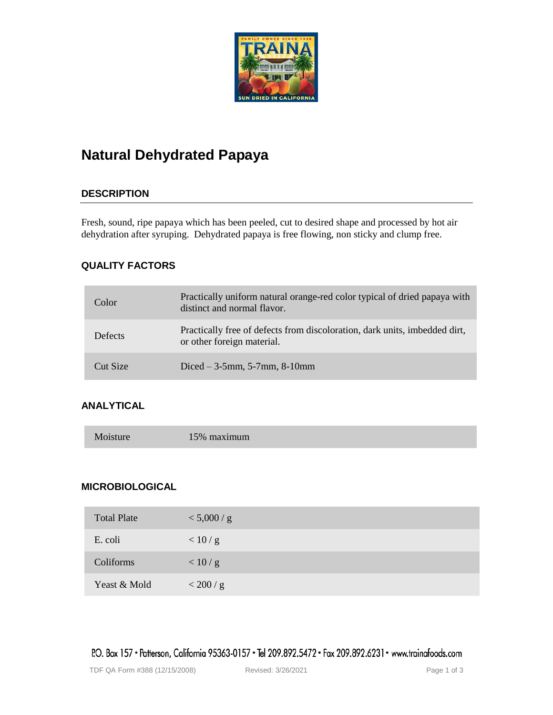

# **Natural Dehydrated Papaya**

# **DESCRIPTION**

Fresh, sound, ripe papaya which has been peeled, cut to desired shape and processed by hot air dehydration after syruping. Dehydrated papaya is free flowing, non sticky and clump free.

# **QUALITY FACTORS**

| Color          | Practically uniform natural orange-red color typical of dried papaya with<br>distinct and normal flavor. |
|----------------|----------------------------------------------------------------------------------------------------------|
| <b>Defects</b> | Practically free of defects from discoloration, dark units, imbedded dirt,<br>or other foreign material. |
| Cut Size       | Diced $-3.5$ mm, 5-7mm, 8-10mm                                                                           |

# **ANALYTICAL**

| Moisture | 15% maximum |
|----------|-------------|
|----------|-------------|

## **MICROBIOLOGICAL**

| <b>Total Plate</b> | < 5,000 / g |
|--------------------|-------------|
| E. coli            | < 10/g      |
| Coliforms          | < 10/g      |
| Yeast & Mold       | < 200 / g   |

P.O. Box 157 • Patterson, California 95363-0157 • Tel 209.892.5472 • Fax 209.892.6231 • www.trainafoods.com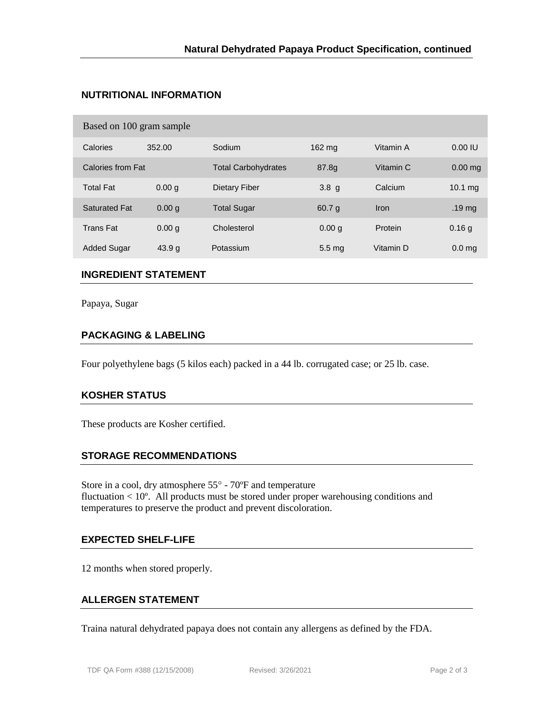## **NUTRITIONAL INFORMATION**

| Based on 100 gram sample |                            |                     |           |                   |  |  |  |  |
|--------------------------|----------------------------|---------------------|-----------|-------------------|--|--|--|--|
| 352.00                   | Sodium                     | 162 mg              | Vitamin A | 0.00 IU           |  |  |  |  |
|                          | <b>Total Carbohydrates</b> | 87.8g               | Vitamin C | $0.00$ mg         |  |  |  |  |
| 0.00 <sub>q</sub>        | Dietary Fiber              | 3.8 <sub>q</sub>    | Calcium   | $10.1 \text{ mg}$ |  |  |  |  |
| 0.00 <sub>q</sub>        | <b>Total Sugar</b>         | 60.7 <sub>q</sub>   | Iron      | .19 <sub>mg</sub> |  |  |  |  |
| 0.00 <sub>q</sub>        | Cholesterol                | 0.00 <sub>q</sub>   | Protein   | 0.16q             |  |  |  |  |
| 43.9 g                   | Potassium                  | $5.5 \,\mathrm{mg}$ | Vitamin D | 0.0 <sub>ma</sub> |  |  |  |  |
|                          | Calories from Fat          |                     |           |                   |  |  |  |  |

## **INGREDIENT STATEMENT**

Papaya, Sugar

## **PACKAGING & LABELING**

Four polyethylene bags (5 kilos each) packed in a 44 lb. corrugated case; or 25 lb. case.

#### **KOSHER STATUS**

These products are Kosher certified.

#### **STORAGE RECOMMENDATIONS**

Store in a cool, dry atmosphere  $55^{\circ}$  -  $70^{\circ}$ F and temperature fluctuation < 10º. All products must be stored under proper warehousing conditions and temperatures to preserve the product and prevent discoloration.

#### **EXPECTED SHELF-LIFE**

12 months when stored properly.

#### **ALLERGEN STATEMENT**

Traina natural dehydrated papaya does not contain any allergens as defined by the FDA.